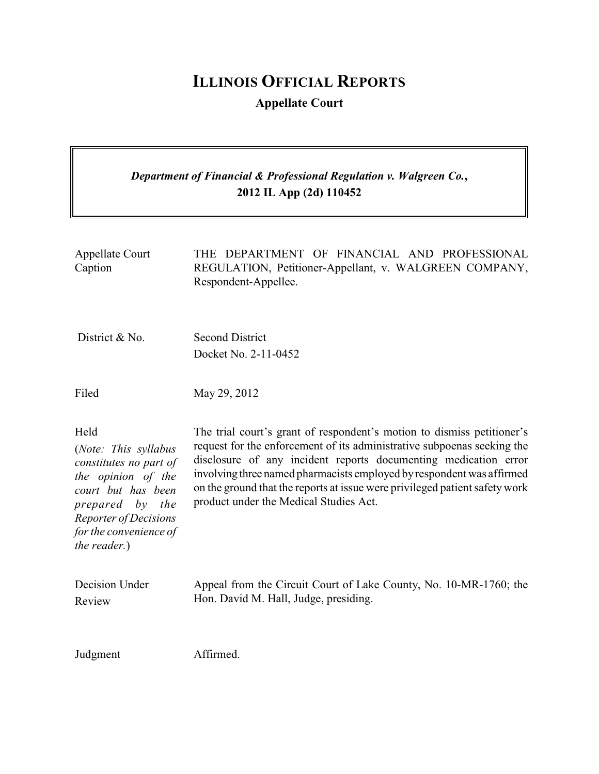# **ILLINOIS OFFICIAL REPORTS**

**Appellate Court**

## *Department of Financial & Professional Regulation v. Walgreen Co.***, 2012 IL App (2d) 110452**

| <b>Appellate Court</b><br>Caption                                                                                                                                                        | THE DEPARTMENT OF FINANCIAL AND PROFESSIONAL<br>REGULATION, Petitioner-Appellant, v. WALGREEN COMPANY,<br>Respondent-Appellee.                                                                                                                                                                                                                                                                                         |
|------------------------------------------------------------------------------------------------------------------------------------------------------------------------------------------|------------------------------------------------------------------------------------------------------------------------------------------------------------------------------------------------------------------------------------------------------------------------------------------------------------------------------------------------------------------------------------------------------------------------|
| District & No.                                                                                                                                                                           | <b>Second District</b>                                                                                                                                                                                                                                                                                                                                                                                                 |
|                                                                                                                                                                                          | Docket No. 2-11-0452                                                                                                                                                                                                                                                                                                                                                                                                   |
| Filed                                                                                                                                                                                    | May 29, 2012                                                                                                                                                                                                                                                                                                                                                                                                           |
| Held<br>(Note: This syllabus<br>constitutes no part of<br>the opinion of the<br>court but has been<br>prepared by the<br>Reporter of Decisions<br>for the convenience of<br>the reader.) | The trial court's grant of respondent's motion to dismiss petitioner's<br>request for the enforcement of its administrative subpoenas seeking the<br>disclosure of any incident reports documenting medication error<br>involving three named pharmacists employed by respondent was affirmed<br>on the ground that the reports at issue were privileged patient safety work<br>product under the Medical Studies Act. |
| Decision Under<br>Review                                                                                                                                                                 | Appeal from the Circuit Court of Lake County, No. 10-MR-1760; the<br>Hon. David M. Hall, Judge, presiding.                                                                                                                                                                                                                                                                                                             |
| Judgment                                                                                                                                                                                 | Affirmed.                                                                                                                                                                                                                                                                                                                                                                                                              |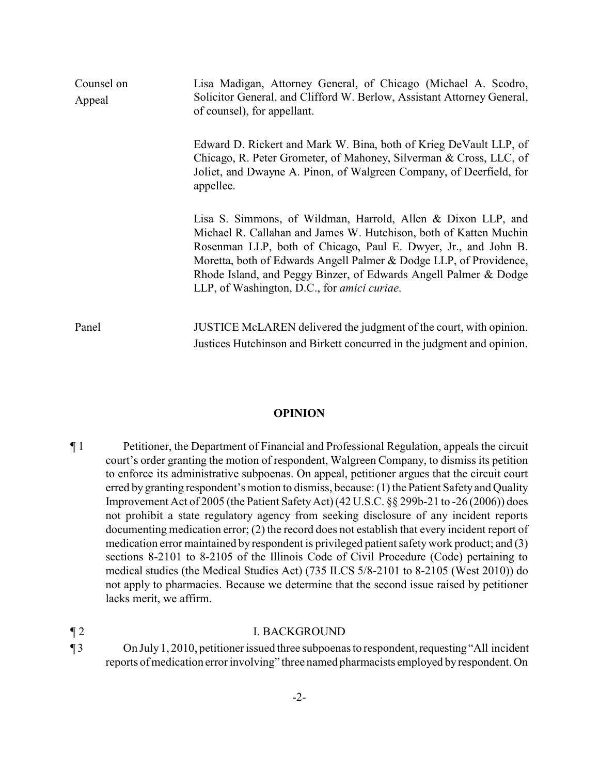| Counsel on<br>Appeal | Lisa Madigan, Attorney General, of Chicago (Michael A. Scodro,<br>Solicitor General, and Clifford W. Berlow, Assistant Attorney General,<br>of counsel), for appellant.                                                                                                                                                                                                                      |
|----------------------|----------------------------------------------------------------------------------------------------------------------------------------------------------------------------------------------------------------------------------------------------------------------------------------------------------------------------------------------------------------------------------------------|
|                      | Edward D. Rickert and Mark W. Bina, both of Krieg DeVault LLP, of<br>Chicago, R. Peter Grometer, of Mahoney, Silverman & Cross, LLC, of<br>Joliet, and Dwayne A. Pinon, of Walgreen Company, of Deerfield, for<br>appellee.                                                                                                                                                                  |
|                      | Lisa S. Simmons, of Wildman, Harrold, Allen & Dixon LLP, and<br>Michael R. Callahan and James W. Hutchison, both of Katten Muchin<br>Rosenman LLP, both of Chicago, Paul E. Dwyer, Jr., and John B.<br>Moretta, both of Edwards Angell Palmer & Dodge LLP, of Providence,<br>Rhode Island, and Peggy Binzer, of Edwards Angell Palmer & Dodge<br>LLP, of Washington, D.C., for amici curiae. |
| Panel                | JUSTICE McLAREN delivered the judgment of the court, with opinion.<br>Justices Hutchinson and Birkett concurred in the judgment and opinion.                                                                                                                                                                                                                                                 |

#### **OPINION**

¶ 1 Petitioner, the Department of Financial and Professional Regulation, appeals the circuit court's order granting the motion of respondent, Walgreen Company, to dismiss its petition to enforce its administrative subpoenas. On appeal, petitioner argues that the circuit court erred by granting respondent's motion to dismiss, because: (1) the Patient Safety and Quality Improvement Act of 2005 (the Patient SafetyAct) (42 U.S.C. §§ 299b-21 to -26 (2006)) does not prohibit a state regulatory agency from seeking disclosure of any incident reports documenting medication error; (2) the record does not establish that every incident report of medication error maintained by respondent is privileged patient safetywork product; and (3) sections 8-2101 to 8-2105 of the Illinois Code of Civil Procedure (Code) pertaining to medical studies (the Medical Studies Act) (735 ILCS 5/8-2101 to 8-2105 (West 2010)) do not apply to pharmacies. Because we determine that the second issue raised by petitioner lacks merit, we affirm.

### ¶ 2 I. BACKGROUND

¶ 3 On July1, 2010, petitioner issued three subpoenas to respondent,requesting"All incident reports of medication error involving" three named pharmacists employed byrespondent. On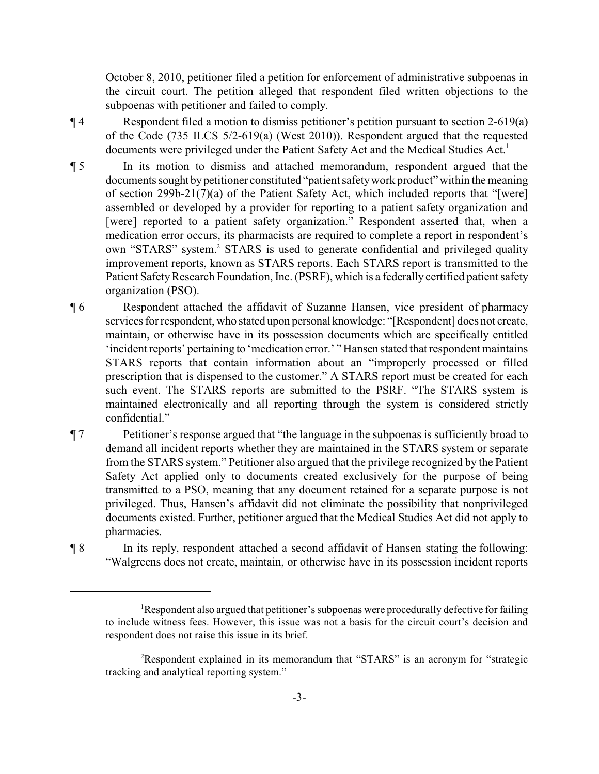October 8, 2010, petitioner filed a petition for enforcement of administrative subpoenas in the circuit court. The petition alleged that respondent filed written objections to the subpoenas with petitioner and failed to comply.

- ¶ 4 Respondent filed a motion to dismiss petitioner's petition pursuant to section 2-619(a) of the Code (735 ILCS 5/2-619(a) (West 2010)). Respondent argued that the requested documents were privileged under the Patient Safety Act and the Medical Studies Act.<sup>1</sup>
- ¶ 5 In its motion to dismiss and attached memorandum, respondent argued that the documents sought by petitioner constituted "patient safety work product" within the meaning of section 299b-21(7)(a) of the Patient Safety Act, which included reports that "[were] assembled or developed by a provider for reporting to a patient safety organization and [were] reported to a patient safety organization." Respondent asserted that, when a medication error occurs, its pharmacists are required to complete a report in respondent's own "STARS" system.<sup>2</sup> STARS is used to generate confidential and privileged quality improvement reports, known as STARS reports. Each STARS report is transmitted to the Patient Safety Research Foundation, Inc. (PSRF), which is a federally certified patient safety organization (PSO).
- ¶ 6 Respondent attached the affidavit of Suzanne Hansen, vice president of pharmacy services for respondent, who stated upon personal knowledge: "[Respondent] does not create, maintain, or otherwise have in its possession documents which are specifically entitled 'incident reports' pertaining to 'medication error.' " Hansen stated that respondent maintains STARS reports that contain information about an "improperly processed or filled prescription that is dispensed to the customer." A STARS report must be created for each such event. The STARS reports are submitted to the PSRF. "The STARS system is maintained electronically and all reporting through the system is considered strictly confidential."
- ¶ 7 Petitioner's response argued that "the language in the subpoenas is sufficiently broad to demand all incident reports whether they are maintained in the STARS system or separate from the STARS system." Petitioner also argued that the privilege recognized by the Patient Safety Act applied only to documents created exclusively for the purpose of being transmitted to a PSO, meaning that any document retained for a separate purpose is not privileged. Thus, Hansen's affidavit did not eliminate the possibility that nonprivileged documents existed. Further, petitioner argued that the Medical Studies Act did not apply to pharmacies.
- ¶ 8 In its reply, respondent attached a second affidavit of Hansen stating the following: "Walgreens does not create, maintain, or otherwise have in its possession incident reports

<sup>&</sup>lt;sup>1</sup>Respondent also argued that petitioner's subpoenas were procedurally defective for failing to include witness fees. However, this issue was not a basis for the circuit court's decision and respondent does not raise this issue in its brief.

<sup>&</sup>lt;sup>2</sup>Respondent explained in its memorandum that "STARS" is an acronym for "strategic tracking and analytical reporting system."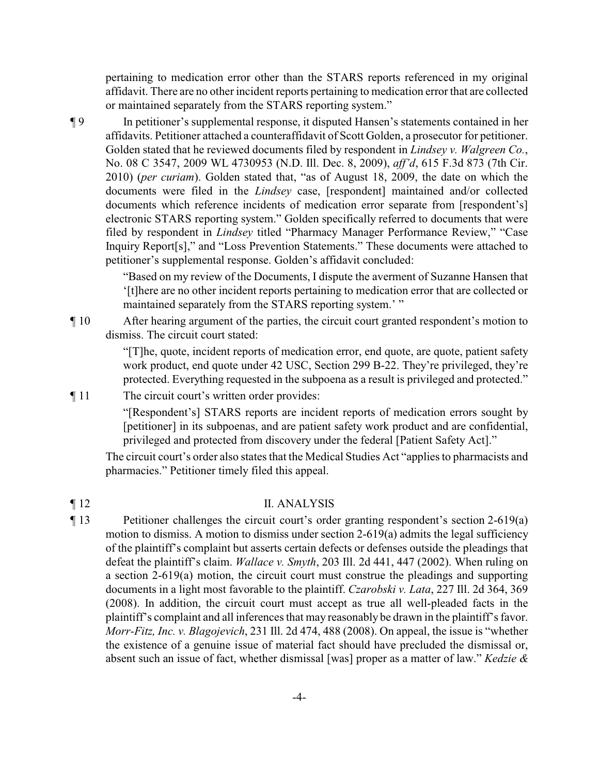pertaining to medication error other than the STARS reports referenced in my original affidavit. There are no other incident reports pertaining to medication error that are collected or maintained separately from the STARS reporting system."

¶ 9 In petitioner's supplemental response, it disputed Hansen's statements contained in her affidavits. Petitioner attached a counteraffidavit of Scott Golden, a prosecutor for petitioner. Golden stated that he reviewed documents filed by respondent in *Lindsey v. Walgreen Co.*, No. 08 C 3547, 2009 WL 4730953 (N.D. Ill. Dec. 8, 2009), *aff'd*, 615 F.3d 873 (7th Cir. 2010) (*per curiam*). Golden stated that, "as of August 18, 2009, the date on which the documents were filed in the *Lindsey* case, [respondent] maintained and/or collected documents which reference incidents of medication error separate from [respondent's] electronic STARS reporting system." Golden specifically referred to documents that were filed by respondent in *Lindsey* titled "Pharmacy Manager Performance Review," "Case Inquiry Report[s]," and "Loss Prevention Statements." These documents were attached to petitioner's supplemental response. Golden's affidavit concluded:

> "Based on my review of the Documents, I dispute the averment of Suzanne Hansen that '[t]here are no other incident reports pertaining to medication error that are collected or maintained separately from the STARS reporting system.' "

¶ 10 After hearing argument of the parties, the circuit court granted respondent's motion to dismiss. The circuit court stated:

> "[T]he, quote, incident reports of medication error, end quote, are quote, patient safety work product, end quote under 42 USC, Section 299 B-22. They're privileged, they're protected. Everything requested in the subpoena as a result is privileged and protected."

¶ 11 The circuit court's written order provides:

"[Respondent's] STARS reports are incident reports of medication errors sought by [petitioner] in its subpoenas, and are patient safety work product and are confidential, privileged and protected from discovery under the federal [Patient Safety Act]."

The circuit court's order also states that the Medical Studies Act "applies to pharmacists and pharmacies." Petitioner timely filed this appeal.

### ¶ 12 II. ANALYSIS

¶ 13 Petitioner challenges the circuit court's order granting respondent's section 2-619(a) motion to dismiss. A motion to dismiss under section 2-619(a) admits the legal sufficiency of the plaintiff's complaint but asserts certain defects or defenses outside the pleadings that defeat the plaintiff's claim. *Wallace v. Smyth*, 203 Ill. 2d 441, 447 (2002). When ruling on a section 2-619(a) motion, the circuit court must construe the pleadings and supporting documents in a light most favorable to the plaintiff. *Czarobski v. Lata*, 227 Ill. 2d 364, 369 (2008). In addition, the circuit court must accept as true all well-pleaded facts in the plaintiff's complaint and all inferences that may reasonably be drawn in the plaintiff's favor. *Morr-Fitz, Inc. v. Blagojevich*, 231 Ill. 2d 474, 488 (2008). On appeal, the issue is "whether the existence of a genuine issue of material fact should have precluded the dismissal or, absent such an issue of fact, whether dismissal [was] proper as a matter of law." *Kedzie &*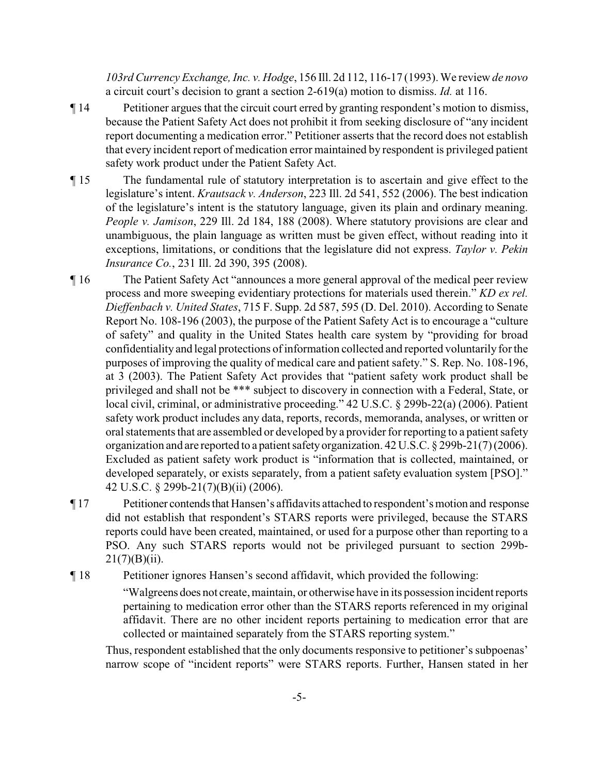*103rd Currency Exchange, Inc. v. Hodge*, 156 Ill. 2d 112, 116-17 (1993). We review *de novo* a circuit court's decision to grant a section 2-619(a) motion to dismiss. *Id.* at 116.

- ¶ 14 Petitioner argues that the circuit court erred by granting respondent's motion to dismiss, because the Patient Safety Act does not prohibit it from seeking disclosure of "any incident report documenting a medication error." Petitioner asserts that the record does not establish that every incident report of medication error maintained by respondent is privileged patient safety work product under the Patient Safety Act.
- ¶ 15 The fundamental rule of statutory interpretation is to ascertain and give effect to the legislature's intent. *Krautsack v. Anderson*, 223 Ill. 2d 541, 552 (2006). The best indication of the legislature's intent is the statutory language, given its plain and ordinary meaning. *People v. Jamison*, 229 Ill. 2d 184, 188 (2008). Where statutory provisions are clear and unambiguous, the plain language as written must be given effect, without reading into it exceptions, limitations, or conditions that the legislature did not express. *Taylor v. Pekin Insurance Co.*, 231 Ill. 2d 390, 395 (2008).
- ¶ 16 The Patient Safety Act "announces a more general approval of the medical peer review process and more sweeping evidentiary protections for materials used therein." *KD ex rel. Dieffenbach v. United States*, 715 F. Supp. 2d 587, 595 (D. Del. 2010). According to Senate Report No. 108-196 (2003), the purpose of the Patient Safety Act is to encourage a "culture of safety" and quality in the United States health care system by "providing for broad confidentiality and legal protections of information collected and reported voluntarily for the purposes of improving the quality of medical care and patient safety." S. Rep. No. 108-196, at 3 (2003). The Patient Safety Act provides that "patient safety work product shall be privileged and shall not be \*\*\* subject to discovery in connection with a Federal, State, or local civil, criminal, or administrative proceeding." 42 U.S.C. § 299b-22(a) (2006). Patient safety work product includes any data, reports, records, memoranda, analyses, or written or oral statements that are assembled or developed by a provider for reporting to a patient safety organization and are reported to a patient safetyorganization. 42 U.S.C. § 299b-21(7)(2006). Excluded as patient safety work product is "information that is collected, maintained, or developed separately, or exists separately, from a patient safety evaluation system [PSO]." 42 U.S.C. § 299b-21(7)(B)(ii) (2006).
- ¶ 17 Petitioner contendsthat Hansen's affidavits attached to respondent'smotion and response did not establish that respondent's STARS reports were privileged, because the STARS reports could have been created, maintained, or used for a purpose other than reporting to a PSO. Any such STARS reports would not be privileged pursuant to section 299b- $21(7)(B)(ii)$ .

¶ 18 Petitioner ignores Hansen's second affidavit, which provided the following:

"Walgreens does not create, maintain, or otherwise have in its possession incident reports pertaining to medication error other than the STARS reports referenced in my original affidavit. There are no other incident reports pertaining to medication error that are collected or maintained separately from the STARS reporting system."

Thus, respondent established that the only documents responsive to petitioner's subpoenas' narrow scope of "incident reports" were STARS reports. Further, Hansen stated in her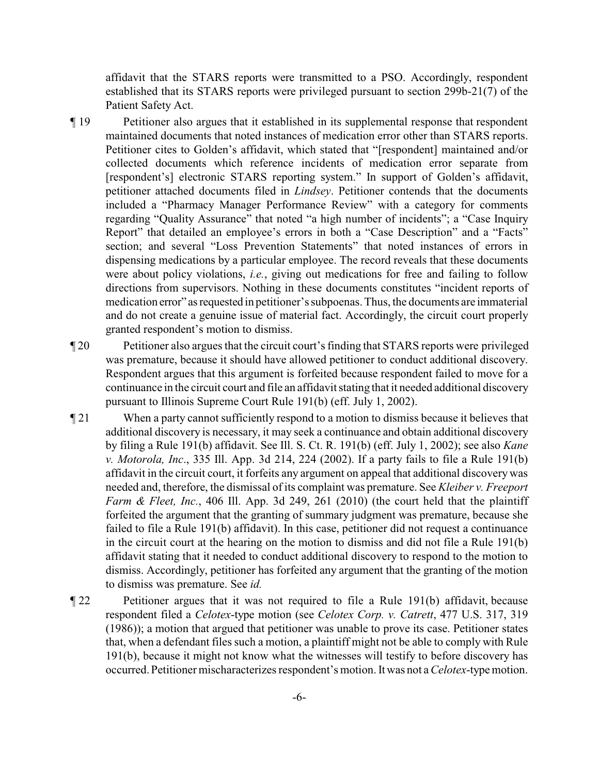affidavit that the STARS reports were transmitted to a PSO. Accordingly, respondent established that its STARS reports were privileged pursuant to section 299b-21(7) of the Patient Safety Act.

- ¶ 19 Petitioner also argues that it established in its supplemental response that respondent maintained documents that noted instances of medication error other than STARS reports. Petitioner cites to Golden's affidavit, which stated that "[respondent] maintained and/or collected documents which reference incidents of medication error separate from [respondent's] electronic STARS reporting system." In support of Golden's affidavit, petitioner attached documents filed in *Lindsey*. Petitioner contends that the documents included a "Pharmacy Manager Performance Review" with a category for comments regarding "Quality Assurance" that noted "a high number of incidents"; a "Case Inquiry Report" that detailed an employee's errors in both a "Case Description" and a "Facts" section; and several "Loss Prevention Statements" that noted instances of errors in dispensing medications by a particular employee. The record reveals that these documents were about policy violations, *i.e.*, giving out medications for free and failing to follow directions from supervisors. Nothing in these documents constitutes "incident reports of medication error" asrequested in petitioner's subpoenas. Thus, the documents are immaterial and do not create a genuine issue of material fact. Accordingly, the circuit court properly granted respondent's motion to dismiss.
- ¶ 20 Petitioner also argues that the circuit court's finding that STARS reports were privileged was premature, because it should have allowed petitioner to conduct additional discovery. Respondent argues that this argument is forfeited because respondent failed to move for a continuance in the circuit court and file an affidavit stating that it needed additional discovery pursuant to Illinois Supreme Court Rule 191(b) (eff. July 1, 2002).
- ¶ 21 When a party cannot sufficiently respond to a motion to dismiss because it believes that additional discovery is necessary, it may seek a continuance and obtain additional discovery by filing a Rule 191(b) affidavit. See Ill. S. Ct. R. 191(b) (eff. July 1, 2002); see also *Kane v. Motorola, Inc*., 335 Ill. App. 3d 214, 224 (2002). If a party fails to file a Rule 191(b) affidavit in the circuit court, it forfeits any argument on appeal that additional discovery was needed and, therefore, the dismissal of its complaint was premature. See *Kleiber v. Freeport Farm & Fleet, Inc.*, 406 Ill. App. 3d 249, 261 (2010) (the court held that the plaintiff forfeited the argument that the granting of summary judgment was premature, because she failed to file a Rule 191(b) affidavit). In this case, petitioner did not request a continuance in the circuit court at the hearing on the motion to dismiss and did not file a Rule 191(b) affidavit stating that it needed to conduct additional discovery to respond to the motion to dismiss. Accordingly, petitioner has forfeited any argument that the granting of the motion to dismiss was premature. See *id.*
- ¶ 22 Petitioner argues that it was not required to file a Rule 191(b) affidavit, because respondent filed a *Celotex*-type motion (see *Celotex Corp. v. Catrett*, 477 U.S. 317, 319 (1986)); a motion that argued that petitioner was unable to prove its case. Petitioner states that, when a defendant files such a motion, a plaintiff might not be able to comply with Rule 191(b), because it might not know what the witnesses will testify to before discovery has occurred. Petitioner mischaracterizes respondent's motion. It was not a *Celotex*-type motion.